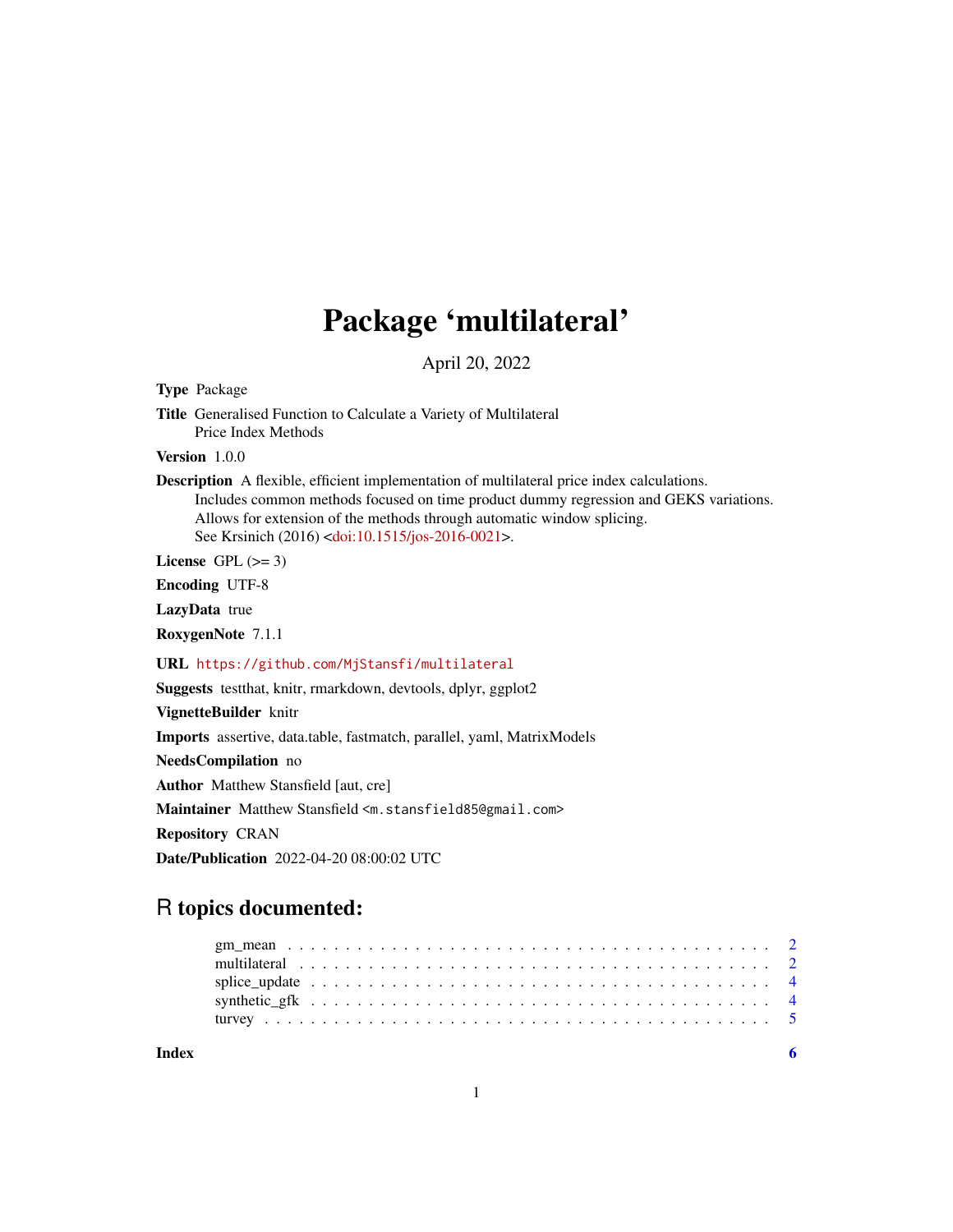## Package 'multilateral'

April 20, 2022

Type Package

Title Generalised Function to Calculate a Variety of Multilateral Price Index Methods

Version 1.0.0

Description A flexible, efficient implementation of multilateral price index calculations. Includes common methods focused on time product dummy regression and GEKS variations. Allows for extension of the methods through automatic window splicing. See Krsinich (2016) [<doi:10.1515/jos-2016-0021>](https://doi.org/10.1515/jos-2016-0021).

License GPL  $(>= 3)$ 

Encoding UTF-8

LazyData true

RoxygenNote 7.1.1

URL <https://github.com/MjStansfi/multilateral>

Suggests testthat, knitr, rmarkdown, devtools, dplyr, ggplot2

VignetteBuilder knitr

Imports assertive, data.table, fastmatch, parallel, yaml, MatrixModels

NeedsCompilation no

Author Matthew Stansfield [aut, cre]

Maintainer Matthew Stansfield <m.stansfield85@gmail.com>

Repository CRAN

Date/Publication 2022-04-20 08:00:02 UTC

### R topics documented:

**Index** [6](#page-5-0) **6**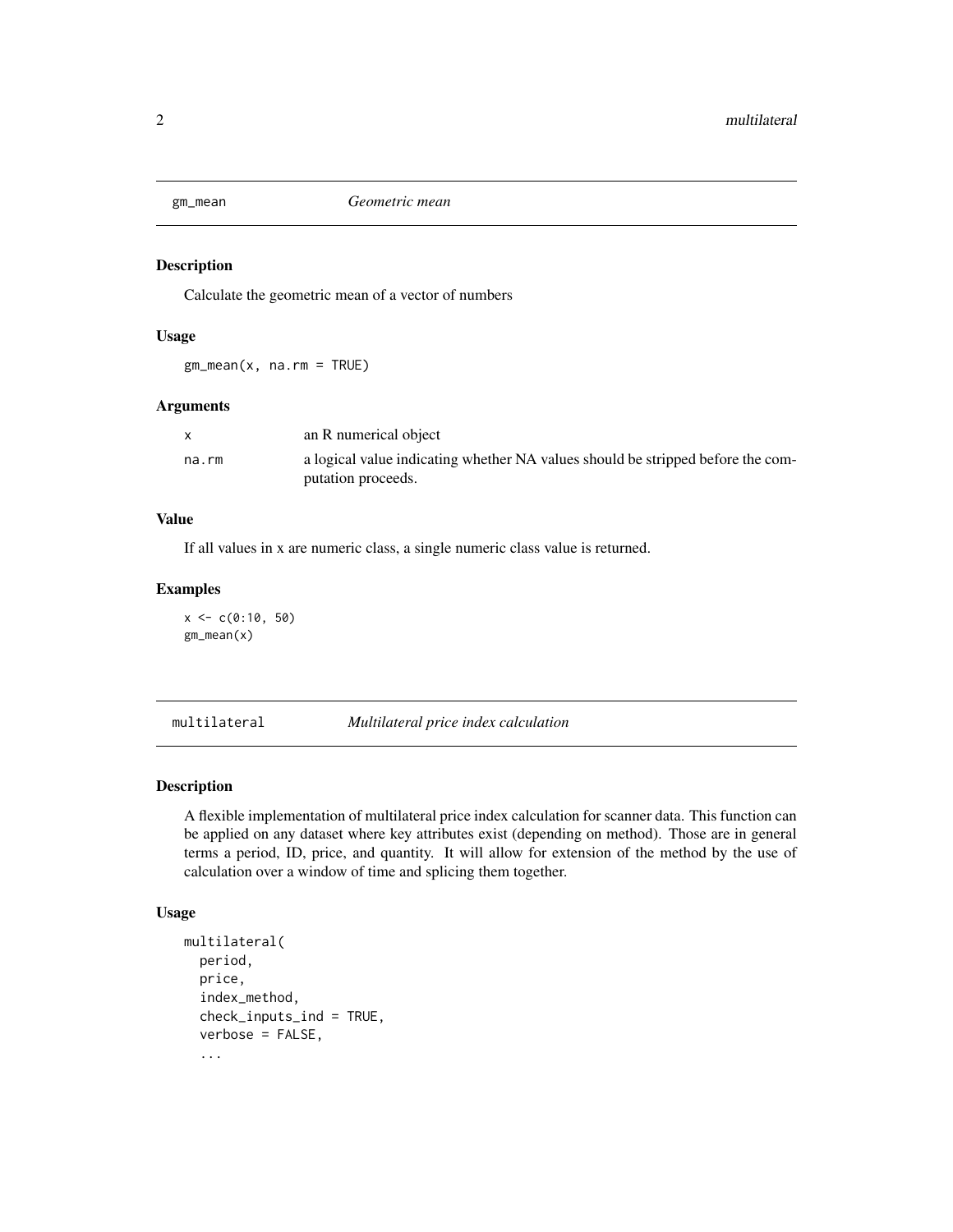<span id="page-1-0"></span>

#### Description

Calculate the geometric mean of a vector of numbers

#### Usage

 $gm_mean(x, na.rm = TRUE)$ 

#### Arguments

|       | an R numerical object                                                           |
|-------|---------------------------------------------------------------------------------|
| na.rm | a logical value indicating whether NA values should be stripped before the com- |
|       | putation proceeds.                                                              |

#### Value

If all values in x are numeric class, a single numeric class value is returned.

#### Examples

 $x < -c(0:10, 50)$ gm\_mean(x)

multilateral *Multilateral price index calculation*

#### Description

A flexible implementation of multilateral price index calculation for scanner data. This function can be applied on any dataset where key attributes exist (depending on method). Those are in general terms a period, ID, price, and quantity. It will allow for extension of the method by the use of calculation over a window of time and splicing them together.

#### Usage

```
multilateral(
  period,
  price,
  index_method,
  check_inputs_ind = TRUE,
  verbose = FALSE,
  ...
```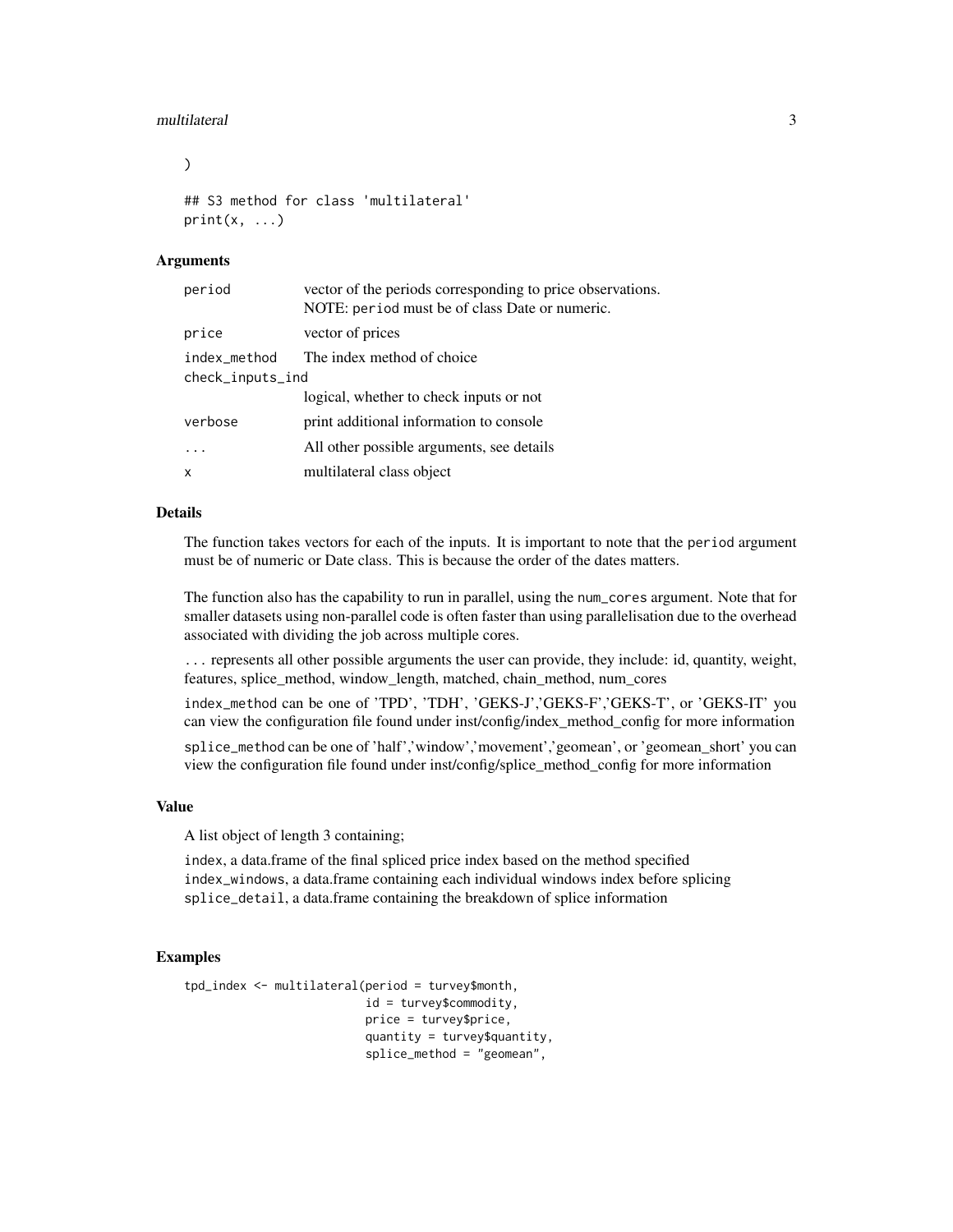#### multilateral 3

)

```
## S3 method for class 'multilateral'
print(x, \ldots)
```
#### Arguments

| period                           | vector of the periods corresponding to price observations.<br>NOTE: period must be of class Date or numeric. |
|----------------------------------|--------------------------------------------------------------------------------------------------------------|
| price                            | vector of prices                                                                                             |
| index_method<br>check_inputs_ind | The index method of choice                                                                                   |
|                                  | logical, whether to check inputs or not                                                                      |
| verbose                          | print additional information to console                                                                      |
|                                  | All other possible arguments, see details                                                                    |
| X                                | multilateral class object                                                                                    |

#### Details

The function takes vectors for each of the inputs. It is important to note that the period argument must be of numeric or Date class. This is because the order of the dates matters.

The function also has the capability to run in parallel, using the num\_cores argument. Note that for smaller datasets using non-parallel code is often faster than using parallelisation due to the overhead associated with dividing the job across multiple cores.

... represents all other possible arguments the user can provide, they include: id, quantity, weight, features, splice\_method, window\_length, matched, chain\_method, num\_cores

index\_method can be one of 'TPD', 'TDH', 'GEKS-J','GEKS-F','GEKS-T', or 'GEKS-IT' you can view the configuration file found under inst/config/index\_method\_config for more information

splice\_method can be one of 'half','window','movement','geomean', or 'geomean short' you can view the configuration file found under inst/config/splice\_method\_config for more information

#### Value

A list object of length 3 containing;

index, a data.frame of the final spliced price index based on the method specified index\_windows, a data.frame containing each individual windows index before splicing splice\_detail, a data.frame containing the breakdown of splice information

#### Examples

```
tpd_index <- multilateral(period = turvey$month,
                          id = turvey$commodity,
                          price = turvey$price,
                          quantity = turvey$quantity,
                          splice_method = "geomean",
```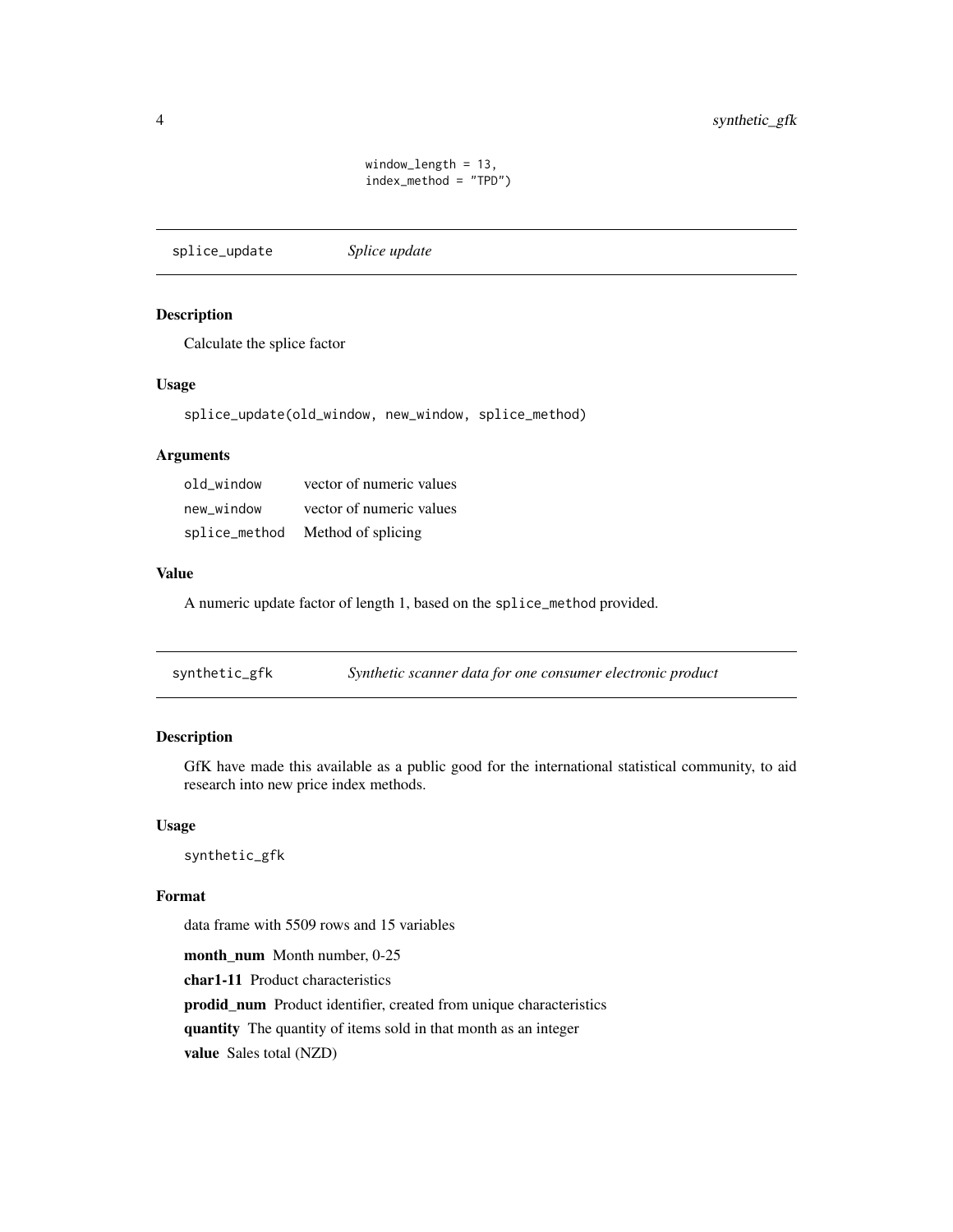window\_length = 13, index\_method = "TPD")

<span id="page-3-0"></span>splice\_update *Splice update*

#### Description

Calculate the splice factor

#### Usage

splice\_update(old\_window, new\_window, splice\_method)

#### Arguments

| old window    | vector of numeric values |
|---------------|--------------------------|
| new window    | vector of numeric values |
| splice_method | Method of splicing       |

#### Value

A numeric update factor of length 1, based on the splice\_method provided.

synthetic\_gfk *Synthetic scanner data for one consumer electronic product*

#### Description

GfK have made this available as a public good for the international statistical community, to aid research into new price index methods.

#### Usage

synthetic\_gfk

#### Format

data frame with 5509 rows and 15 variables

month\_num Month number, 0-25 char1-11 Product characteristics prodid\_num Product identifier, created from unique characteristics quantity The quantity of items sold in that month as an integer value Sales total (NZD)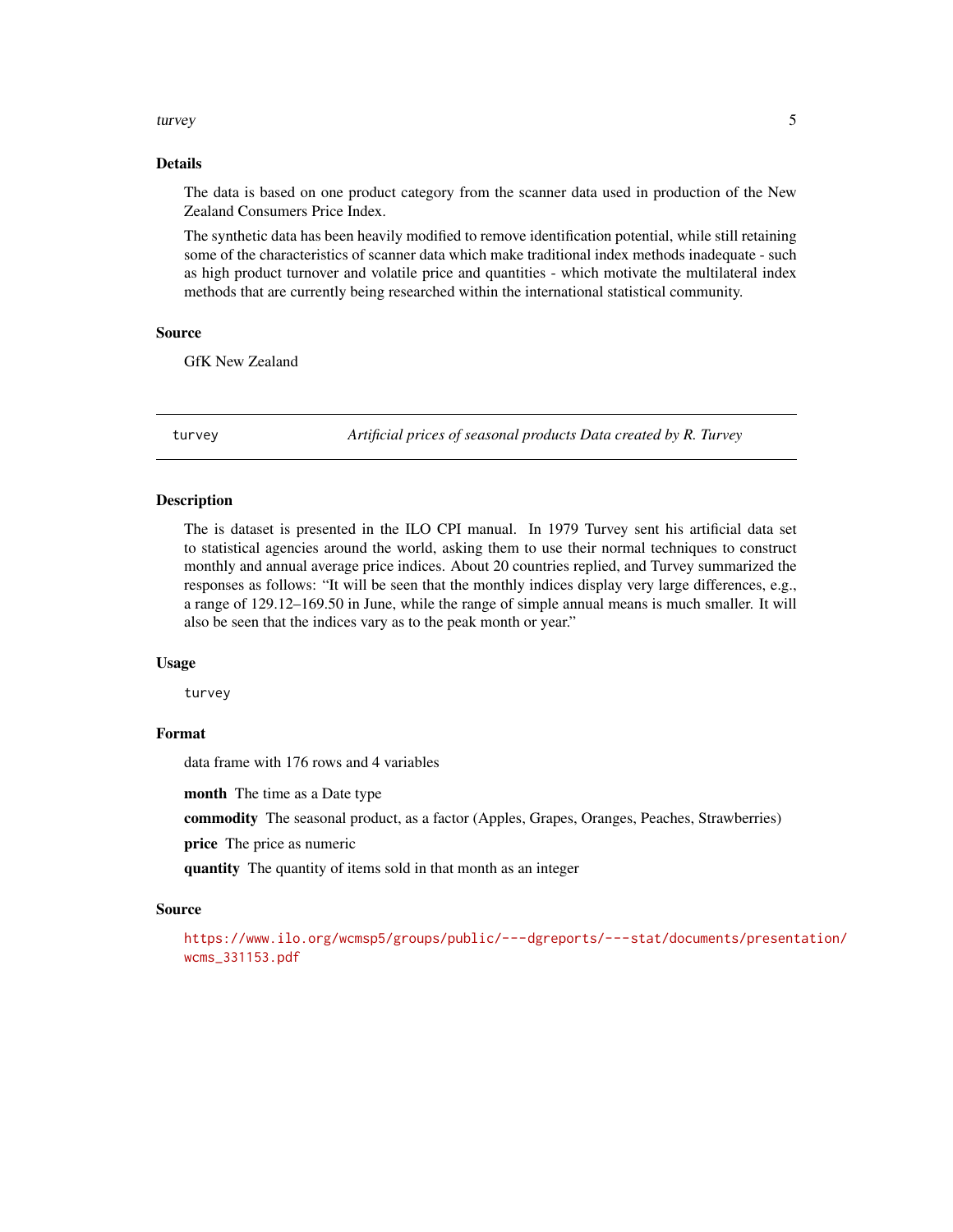#### <span id="page-4-0"></span>turvey 5

#### Details

The data is based on one product category from the scanner data used in production of the New Zealand Consumers Price Index.

The synthetic data has been heavily modified to remove identification potential, while still retaining some of the characteristics of scanner data which make traditional index methods inadequate - such as high product turnover and volatile price and quantities - which motivate the multilateral index methods that are currently being researched within the international statistical community.

#### Source

GfK New Zealand

turvey *Artificial prices of seasonal products Data created by R. Turvey*

#### Description

The is dataset is presented in the ILO CPI manual. In 1979 Turvey sent his artificial data set to statistical agencies around the world, asking them to use their normal techniques to construct monthly and annual average price indices. About 20 countries replied, and Turvey summarized the responses as follows: "It will be seen that the monthly indices display very large differences, e.g., a range of 129.12–169.50 in June, while the range of simple annual means is much smaller. It will also be seen that the indices vary as to the peak month or year."

#### Usage

turvey

#### Format

data frame with 176 rows and 4 variables

month The time as a Date type

commodity The seasonal product, as a factor (Apples, Grapes, Oranges, Peaches, Strawberries)

price The price as numeric

quantity The quantity of items sold in that month as an integer

#### Source

[https://www.ilo.org/wcmsp5/groups/public/---dgreports/---stat/documents/present](https://www.ilo.org/wcmsp5/groups/public/---dgreports/---stat/documents/presentation/wcms_331153.pdf)ation/ [wcms\\_331153.pdf](https://www.ilo.org/wcmsp5/groups/public/---dgreports/---stat/documents/presentation/wcms_331153.pdf)